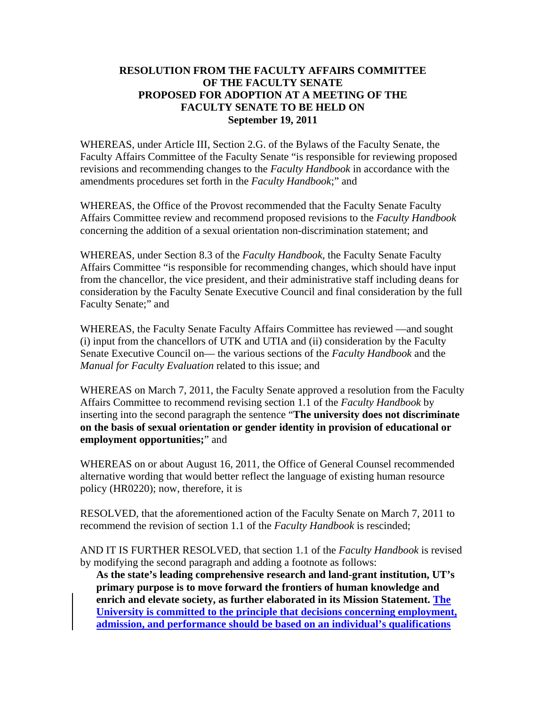## **RESOLUTION FROM THE FACULTY AFFAIRS COMMITTEE OF THE FACULTY SENATE PROPOSED FOR ADOPTION AT A MEETING OF THE FACULTY SENATE TO BE HELD ON September 19, 2011**

WHEREAS, under Article III, Section 2.G. of the Bylaws of the Faculty Senate, the Faculty Affairs Committee of the Faculty Senate "is responsible for reviewing proposed revisions and recommending changes to the *Faculty Handbook* in accordance with the amendments procedures set forth in the *Faculty Handbook*;" and

WHEREAS, the Office of the Provost recommended that the Faculty Senate Faculty Affairs Committee review and recommend proposed revisions to the *Faculty Handbook*  concerning the addition of a sexual orientation non-discrimination statement; and

WHEREAS, under Section 8.3 of the *Faculty Handbook*, the Faculty Senate Faculty Affairs Committee "is responsible for recommending changes, which should have input from the chancellor, the vice president, and their administrative staff including deans for consideration by the Faculty Senate Executive Council and final consideration by the full Faculty Senate;" and

WHEREAS, the Faculty Senate Faculty Affairs Committee has reviewed —and sought (i) input from the chancellors of UTK and UTIA and (ii) consideration by the Faculty Senate Executive Council on— the various sections of the *Faculty Handbook* and the *Manual for Faculty Evaluation* related to this issue; and

WHEREAS on March 7, 2011, the Faculty Senate approved a resolution from the Faculty Affairs Committee to recommend revising section 1.1 of the *Faculty Handbook* by inserting into the second paragraph the sentence "**The university does not discriminate on the basis of sexual orientation or gender identity in provision of educational or employment opportunities;**" and

WHEREAS on or about August 16, 2011, the Office of General Counsel recommended alternative wording that would better reflect the language of existing human resource policy (HR0220); now, therefore, it is

RESOLVED, that the aforementioned action of the Faculty Senate on March 7, 2011 to recommend the revision of section 1.1 of the *Faculty Handbook* is rescinded;

AND IT IS FURTHER RESOLVED, that section 1.1 of the *Faculty Handbook* is revised by modifying the second paragraph and adding a footnote as follows:

**As the state's leading comprehensive research and land-grant institution, UT's primary purpose is to move forward the frontiers of human knowledge and enrich and elevate society, as further elaborated in its Mission Statement. The University is committed to the principle that decisions concerning employment, admission, and performance should be based on an individual's qualifications**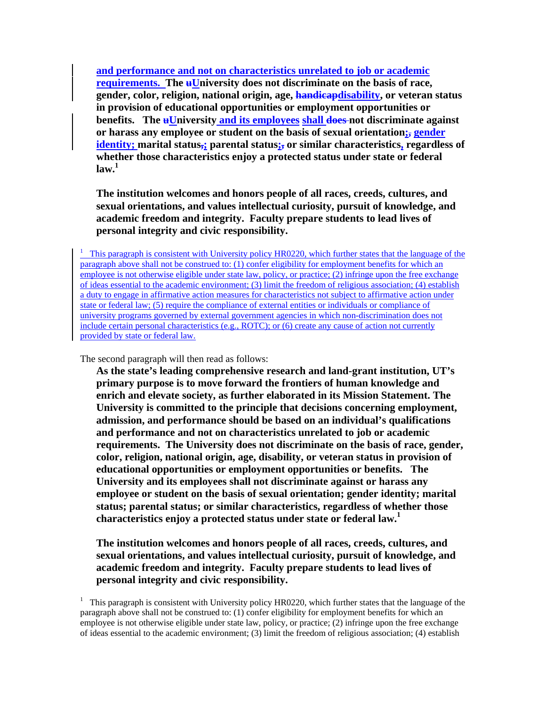**and performance and not on characteristics unrelated to job or academic requirements.** The **uUniversity does not discriminate on the basis of race, gender, color, religion, national origin, age, handicapdisability, or veteran status in provision of educational opportunities or employment opportunities or benefits.** The **uUniversity and its employees shall does** not discriminate against **or harass any employee or student on the basis of sexual orientation;, gender identity; marital status,; parental status;, or similar characteristics, regardless of whether those characteristics enjoy a protected status under state or federal**   $\mathbf{law.}^1$ 

**The institution welcomes and honors people of all races, creeds, cultures, and sexual orientations, and values intellectual curiosity, pursuit of knowledge, and academic freedom and integrity. Faculty prepare students to lead lives of personal integrity and civic responsibility.** 

<sup>1</sup> This paragraph is consistent with University policy HR0220, which further states that the language of the paragraph above shall not be construed to: (1) confer eligibility for employment benefits for which an employee is not otherwise eligible under state law, policy, or practice; (2) infringe upon the free exchange of ideas essential to the academic environment; (3) limit the freedom of religious association; (4) establish a duty to engage in affirmative action measures for characteristics not subject to affirmative action under state or federal law; (5) require the compliance of external entities or individuals or compliance of university programs governed by external government agencies in which non-discrimination does not include certain personal characteristics (e.g., ROTC); or (6) create any cause of action not currently provided by state or federal law.

The second paragraph will then read as follows:

**As the state's leading comprehensive research and land-grant institution, UT's primary purpose is to move forward the frontiers of human knowledge and enrich and elevate society, as further elaborated in its Mission Statement. The University is committed to the principle that decisions concerning employment, admission, and performance should be based on an individual's qualifications and performance and not on characteristics unrelated to job or academic requirements. The University does not discriminate on the basis of race, gender, color, religion, national origin, age, disability, or veteran status in provision of educational opportunities or employment opportunities or benefits. The University and its employees shall not discriminate against or harass any employee or student on the basis of sexual orientation; gender identity; marital status; parental status; or similar characteristics, regardless of whether those characteristics enjoy a protected status under state or federal law.1** 

**The institution welcomes and honors people of all races, creeds, cultures, and sexual orientations, and values intellectual curiosity, pursuit of knowledge, and academic freedom and integrity. Faculty prepare students to lead lives of personal integrity and civic responsibility.** 

<sup>&</sup>lt;sup>1</sup> This paragraph is consistent with University policy HR0220, which further states that the language of the paragraph above shall not be construed to: (1) confer eligibility for employment benefits for which an employee is not otherwise eligible under state law, policy, or practice; (2) infringe upon the free exchange of ideas essential to the academic environment; (3) limit the freedom of religious association; (4) establish